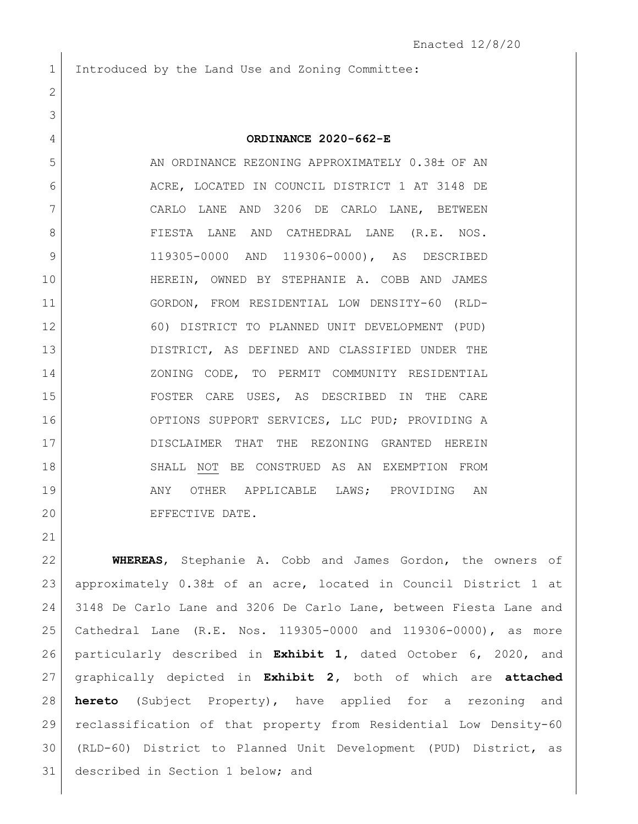Introduced by the Land Use and Zoning Committee:

| 3              |                                                 |
|----------------|-------------------------------------------------|
| $\overline{4}$ | ORDINANCE 2020-662-E                            |
| 5              | AN ORDINANCE REZONING APPROXIMATELY 0.38± OF AN |
| 6              | ACRE, LOCATED IN COUNCIL DISTRICT 1 AT 3148 DE  |
| 7              | CARLO LANE AND 3206 DE CARLO LANE, BETWEEN      |
| 8              | FIESTA LANE AND CATHEDRAL LANE (R.E. NOS.       |
| 9              | 119305-0000 AND 119306-0000), AS DESCRIBED      |
| 10             | HEREIN, OWNED BY STEPHANIE A. COBB AND JAMES    |
| 11             | GORDON, FROM RESIDENTIAL LOW DENSITY-60 (RLD-   |
| 12             | 60) DISTRICT TO PLANNED UNIT DEVELOPMENT (PUD)  |
| 13             | DISTRICT, AS DEFINED AND CLASSIFIED UNDER THE   |
| 14             | ZONING CODE, TO PERMIT COMMUNITY RESIDENTIAL    |
| 15             | FOSTER CARE USES, AS DESCRIBED IN THE CARE      |
| 16             | OPTIONS SUPPORT SERVICES, LLC PUD; PROVIDING A  |
| 17             | DISCLAIMER THAT THE REZONING GRANTED HEREIN     |
| 18             | SHALL NOT BE CONSTRUED AS AN EXEMPTION FROM     |
| 19             | ANY OTHER APPLICABLE LAWS; PROVIDING AN         |
| 20             | EFFECTIVE DATE.                                 |
|                |                                                 |

 **WHEREAS**, Stephanie A. Cobb and James Gordon, the owners of 23 approximately  $0.38\pm$  of an acre, located in Council District 1 at 3148 De Carlo Lane and 3206 De Carlo Lane, between Fiesta Lane and Cathedral Lane (R.E. Nos. 119305-0000 and 119306-0000), as more particularly described in **Exhibit 1,** dated October 6, 2020, and graphically depicted in **Exhibit 2,** both of which are **attached hereto** (Subject Property), have applied for a rezoning and reclassification of that property from Residential Low Density-60 (RLD-60) District to Planned Unit Development (PUD) District, as described in Section 1 below; and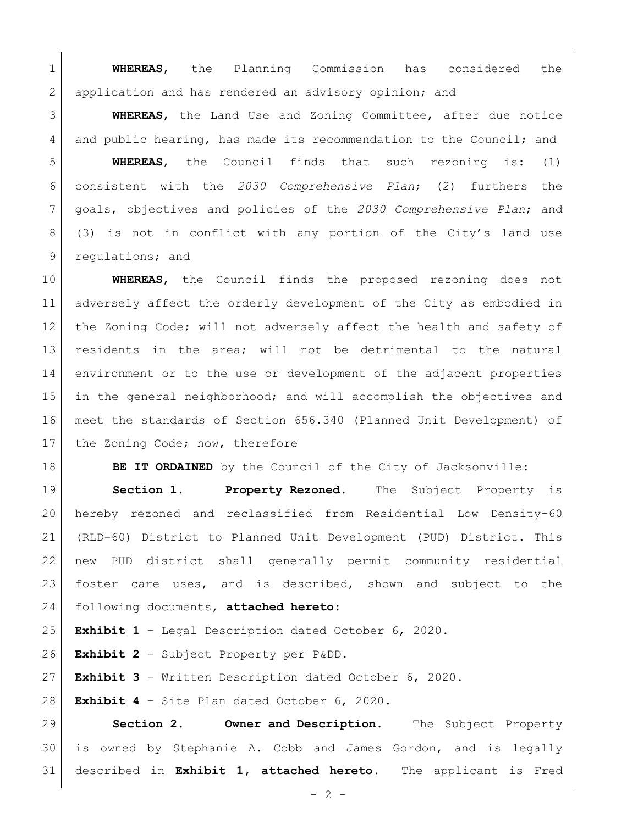**WHEREAS**, the Planning Commission has considered the 2 application and has rendered an advisory opinion; and

 **WHEREAS**, the Land Use and Zoning Committee, after due notice 4 and public hearing, has made its recommendation to the Council; and

 **WHEREAS**, the Council finds that such rezoning is: (1) consistent with the *2030 Comprehensive Plan*; (2) furthers the goals, objectives and policies of the *2030 Comprehensive Plan*; and 8 (3) is not in conflict with any portion of the City's land use 9 regulations; and

 **WHEREAS**, the Council finds the proposed rezoning does not adversely affect the orderly development of the City as embodied in the Zoning Code; will not adversely affect the health and safety of residents in the area; will not be detrimental to the natural environment or to the use or development of the adjacent properties in the general neighborhood; and will accomplish the objectives and meet the standards of Section 656.340 (Planned Unit Development) of 17 the Zoning Code; now, therefore

**BE IT ORDAINED** by the Council of the City of Jacksonville:

 **Section 1. Property Rezoned.** The Subject Property is hereby rezoned and reclassified from Residential Low Density-60 (RLD-60) District to Planned Unit Development (PUD) District. This new PUD district shall generally permit community residential foster care uses, and is described, shown and subject to the following documents, **attached hereto**:

**Exhibit 1** – Legal Description dated October 6, 2020.

**Exhibit 2** – Subject Property per P&DD.

**Exhibit 3** – Written Description dated October 6, 2020.

**Exhibit 4** – Site Plan dated October 6, 2020.

 **Section 2. Owner and Description.** The Subject Property is owned by Stephanie A. Cobb and James Gordon, and is legally described in **Exhibit 1, attached hereto**. The applicant is Fred

 $- 2 -$